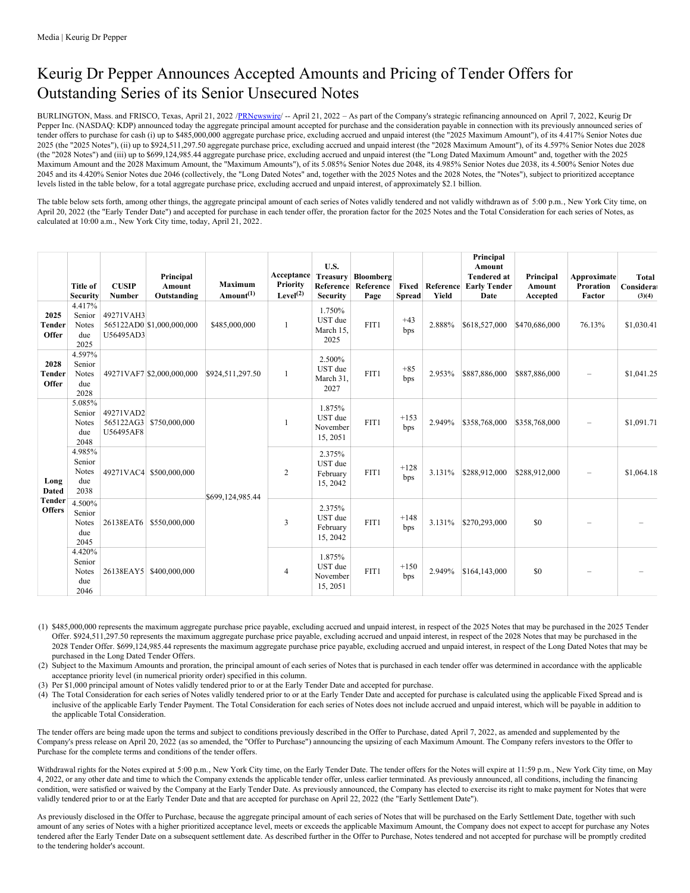## Keurig Dr Pepper Announces Accepted Amounts and Pricing of Tender Offers for Outstanding Series of its Senior Unsecured Notes

BURLINGTON, Mass. and FRISCO, Texas, April 21, 2022 [/PRNewswire](http://www.prnewswire.com/)/ -- April 21, 2022 - As part of the Company's strategic refinancing announced on April 7, 2022, Keurig Dr Pepper Inc. (NASDAQ: KDP) announced today the aggregate principal amount accepted for purchase and the consideration payable in connection with its previously announced series of tender offers to purchase for cash (i) up to \$485,000,000 aggregate purchase price, excluding accrued and unpaid interest (the "2025 Maximum Amount"), of its 4.417% Senior Notes due 2025 (the "2025 Notes"), (ii) up to \$924,511,297.50 aggregate purchase price, excluding accrued and unpaid interest (the "2028 Maximum Amount"), of its 4.597% Senior Notes due 2028 (the "2028 Notes") and (iii) up to \$699,124,985.44 aggregate purchase price, excluding accrued and unpaid interest (the "Long Dated Maximum Amount" and, together with the 2025 Maximum Amount and the 2028 Maximum Amount, the "Maximum Amounts"), of its 5.085% Senior Notes due 2048, its 4.985% Senior Notes due 2038, its 4.500% Senior Notes due 2045 and its 4.420% Senior Notes due 2046 (collectively, the "Long Dated Notes" and, together with the 2025 Notes and the 2028 Notes, the "Notes"), subject to prioritized acceptance levels listed in the table below, for a total aggregate purchase price, excluding accrued and unpaid interest, of approximately \$2.1 billion.

The table below sets forth, among other things, the aggregate principal amount of each series of Notes validly tendered and not validly withdrawn as of 5:00 p.m., New York City time, on April 20, 2022 (the "Early Tender Date") and accepted for purchase in each tender offer, the proration factor for the 2025 Notes and the Total Consideration for each series of Notes, as calculated at 10:00 a.m., New York City time, today, April 21, 2022.

|                                                 | <b>Title of</b><br>Security                     | <b>CUSIP</b><br><b>Number</b>       | Principal<br><b>Amount</b><br>Outstanding | <b>Maximum</b><br>Amount <sup>(1)</sup> | Acceptance<br>Priority<br>Level <sup>(2)</sup> | U.S.<br><b>Treasury</b><br>Reference<br><b>Security</b> | Bloomberg<br>Reference<br>Page | <b>Spread</b> | <b>Fixed Reference</b><br>Yield | Principal<br><b>Amount</b><br><b>Tendered at</b><br><b>Early Tender</b><br>Date | Principal<br>Amount<br>Accepted | Approximate<br>Proration<br>Factor | <b>Total</b><br>Considerat<br>(3)(4) |
|-------------------------------------------------|-------------------------------------------------|-------------------------------------|-------------------------------------------|-----------------------------------------|------------------------------------------------|---------------------------------------------------------|--------------------------------|---------------|---------------------------------|---------------------------------------------------------------------------------|---------------------------------|------------------------------------|--------------------------------------|
| 2025<br>Tender<br>Offer                         | 4.417%<br>Senior<br><b>Notes</b><br>due<br>2025 | 49271VAH3<br>U56495AD3              | 565122AD0 \$1,000,000,000                 | \$485,000,000                           | $\mathbf{1}$                                   | 1.750%<br>UST due<br>March 15,<br>2025                  | FIT1                           | $+43$<br>bps  | 2.888%                          | \$618,527,000                                                                   | \$470,686,000                   | 76.13%                             | \$1,030.41                           |
| 2028<br>Tender<br>Offer                         | 4.597%<br>Senior<br><b>Notes</b><br>due<br>2028 |                                     | 49271VAF7 \$2,000,000,000                 | \$924,511,297.50                        | 1                                              | 2.500%<br>UST due<br>March 31,<br>2027                  | FIT1                           | $+85$<br>bps  | 2.953%                          | \$887,886,000                                                                   | \$887,886,000                   |                                    | \$1,041.25                           |
| Long<br><b>Dated</b><br>Tender<br><b>Offers</b> | 5.085%<br>Senior<br><b>Notes</b><br>due<br>2048 | 49271VAD2<br>565122AG3<br>U56495AF8 | \$750,000,000                             | \$699,124,985.44                        | $\mathbf{1}$                                   | 1.875%<br>UST due<br>November<br>15, 2051               | FIT1                           | $+153$<br>bps | 2.949%                          | \$358,768,000                                                                   | \$358,768,000                   |                                    | \$1,091.71                           |
|                                                 | 4.985%<br>Senior<br><b>Notes</b><br>due<br>2038 | 49271VAC4                           | \$500,000,000                             |                                         | 2                                              | 2.375%<br>UST due<br>February<br>15, 2042               | FIT1                           | $+128$<br>bps | 3.131%                          | \$288,912,000                                                                   | \$288,912,000                   |                                    | \$1,064.18                           |
|                                                 | 4.500%<br>Senior<br><b>Notes</b><br>due<br>2045 | 26138EAT6                           | \$550,000,000                             |                                         | 3                                              | 2.375%<br>UST due<br>February<br>15, 2042               | FIT1                           | $+148$<br>bps | 3.131%                          | \$270,293,000                                                                   | \$0                             |                                    |                                      |
|                                                 | 4.420%<br>Senior<br><b>Notes</b><br>due<br>2046 | 26138EAY5                           | \$400,000,000                             |                                         | 4                                              | 1.875%<br>UST due<br>November<br>15, 2051               | FIT1                           | $+150$<br>bps | 2.949%                          | \$164,143,000                                                                   | \$0                             |                                    |                                      |

(1) \$485,000,000 represents the maximum aggregate purchase price payable, excluding accrued and unpaid interest, in respect of the 2025 Notes that may be purchased in the 2025 Tender Offer. \$924,511,297.50 represents the maximum aggregate purchase price payable, excluding accrued and unpaid interest, in respect of the 2028 Notes that may be purchased in the 2028 Tender Offer. \$699,124,985.44 represents the maximum aggregate purchase price payable, excluding accrued and unpaid interest, in respect of the Long Dated Notes that may be purchased in the Long Dated Tender Offers.

(2) Subject to the Maximum Amounts and proration, the principal amount of each series of Notes that is purchased in each tender offer was determined in accordance with the applicable acceptance priority level (in numerical priority order) specified in this column.

(3) Per \$1,000 principal amount of Notes validly tendered prior to or at the Early Tender Date and accepted for purchase.

(4) The Total Consideration for each series of Notes validly tendered prior to or at the Early Tender Date and accepted for purchase is calculated using the applicable Fixed Spread and is inclusive of the applicable Early Tender Payment. The Total Consideration for each series of Notes does not include accrued and unpaid interest, which will be payable in addition to the applicable Total Consideration.

The tender offers are being made upon the terms and subject to conditions previously described in the Offer to Purchase, dated April 7, 2022, as amended and supplemented by the Company's press release on April 20, 2022 (as so amended, the "Offer to Purchase") announcing the upsizing of each Maximum Amount. The Company refers investors to the Offer to Purchase for the complete terms and conditions of the tender offers.

Withdrawal rights for the Notes expired at 5:00 p.m., New York City time, on the Early Tender Date. The tender offers for the Notes will expire at 11:59 p.m., New York City time, on May 4, 2022, or any other date and time to which the Company extends the applicable tender offer, unless earlier terminated. As previously announced, all conditions, including the financing condition, were satisfied or waived by the Company at the Early Tender Date. As previously announced, the Company has elected to exercise its right to make payment for Notes that were validly tendered prior to or at the Early Tender Date and that are accepted for purchase on April 22, 2022 (the "Early Settlement Date").

As previously disclosed in the Offer to Purchase, because the aggregate principal amount of each series of Notes that will be purchased on the Early Settlement Date, together with such amount of any series of Notes with a higher prioritized acceptance level, meets or exceeds the applicable Maximum Amount, the Company does not expect to accept for purchase any Notes tendered after the Early Tender Date on a subsequent settlement date. As described further in the Offer to Purchase, Notes tendered and not accepted for purchase will be promptly credited to the tendering holder's account.